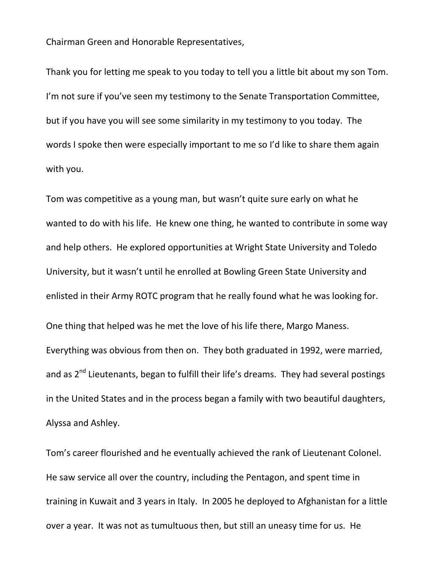Chairman Green and Honorable Representatives,

Thank you for letting me speak to you today to tell you a little bit about my son Tom. I'm not sure if you've seen my testimony to the Senate Transportation Committee, but if you have you will see some similarity in my testimony to you today. The words I spoke then were especially important to me so I'd like to share them again with you.

Tom was competitive as a young man, but wasn't quite sure early on what he wanted to do with his life. He knew one thing, he wanted to contribute in some way and help others. He explored opportunities at Wright State University and Toledo University, but it wasn't until he enrolled at Bowling Green State University and enlisted in their Army ROTC program that he really found what he was looking for. One thing that helped was he met the love of his life there, Margo Maness. Everything was obvious from then on. They both graduated in 1992, were married, and as 2<sup>nd</sup> Lieutenants, began to fulfill their life's dreams. They had several postings in the United States and in the process began a family with two beautiful daughters, Alyssa and Ashley.

Tom's career flourished and he eventually achieved the rank of Lieutenant Colonel. He saw service all over the country, including the Pentagon, and spent time in training in Kuwait and 3 years in Italy. In 2005 he deployed to Afghanistan for a little over a year. It was not as tumultuous then, but still an uneasy time for us. He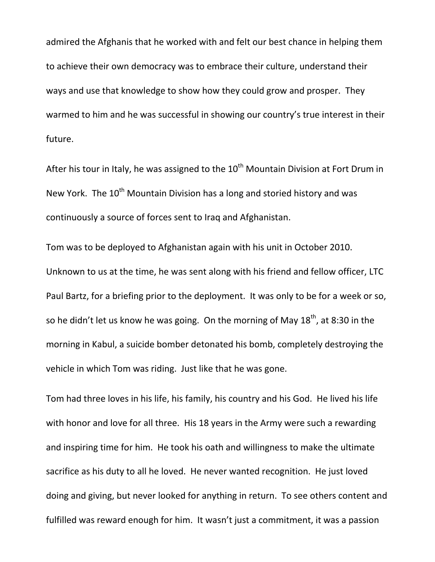admired the Afghanis that he worked with and felt our best chance in helping them to achieve their own democracy was to embrace their culture, understand their ways and use that knowledge to show how they could grow and prosper. They warmed to him and he was successful in showing our country's true interest in their future.

After his tour in Italy, he was assigned to the  $10^{th}$  Mountain Division at Fort Drum in New York. The  $10<sup>th</sup>$  Mountain Division has a long and storied history and was continuously a source of forces sent to Iraq and Afghanistan.

Tom was to be deployed to Afghanistan again with his unit in October 2010. Unknown to us at the time, he was sent along with his friend and fellow officer, LTC Paul Bartz, for a briefing prior to the deployment. It was only to be for a week or so, so he didn't let us know he was going. On the morning of May  $18^{th}$ , at 8:30 in the morning in Kabul, a suicide bomber detonated his bomb, completely destroying the vehicle in which Tom was riding. Just like that he was gone.

Tom had three loves in his life, his family, his country and his God. He lived his life with honor and love for all three. His 18 years in the Army were such a rewarding and inspiring time for him. He took his oath and willingness to make the ultimate sacrifice as his duty to all he loved. He never wanted recognition. He just loved doing and giving, but never looked for anything in return. To see others content and fulfilled was reward enough for him. It wasn't just a commitment, it was a passion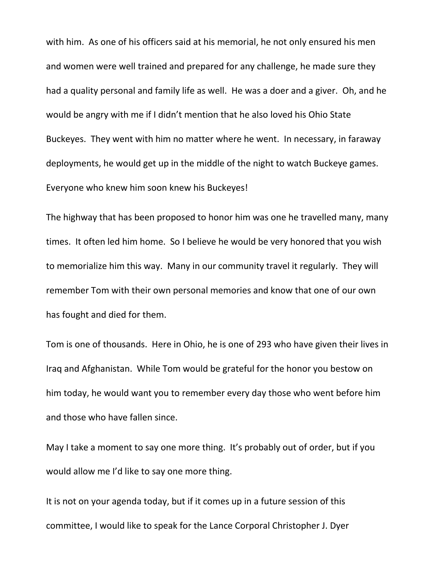with him. As one of his officers said at his memorial, he not only ensured his men and women were well trained and prepared for any challenge, he made sure they had a quality personal and family life as well. He was a doer and a giver. Oh, and he would be angry with me if I didn't mention that he also loved his Ohio State Buckeyes. They went with him no matter where he went. In necessary, in faraway deployments, he would get up in the middle of the night to watch Buckeye games. Everyone who knew him soon knew his Buckeyes!

The highway that has been proposed to honor him was one he travelled many, many times. It often led him home. So I believe he would be very honored that you wish to memorialize him this way. Many in our community travel it regularly. They will remember Tom with their own personal memories and know that one of our own has fought and died for them.

Tom is one of thousands. Here in Ohio, he is one of 293 who have given their lives in Iraq and Afghanistan. While Tom would be grateful for the honor you bestow on him today, he would want you to remember every day those who went before him and those who have fallen since.

May I take a moment to say one more thing. It's probably out of order, but if you would allow me I'd like to say one more thing.

It is not on your agenda today, but if it comes up in a future session of this committee, I would like to speak for the Lance Corporal Christopher J. Dyer